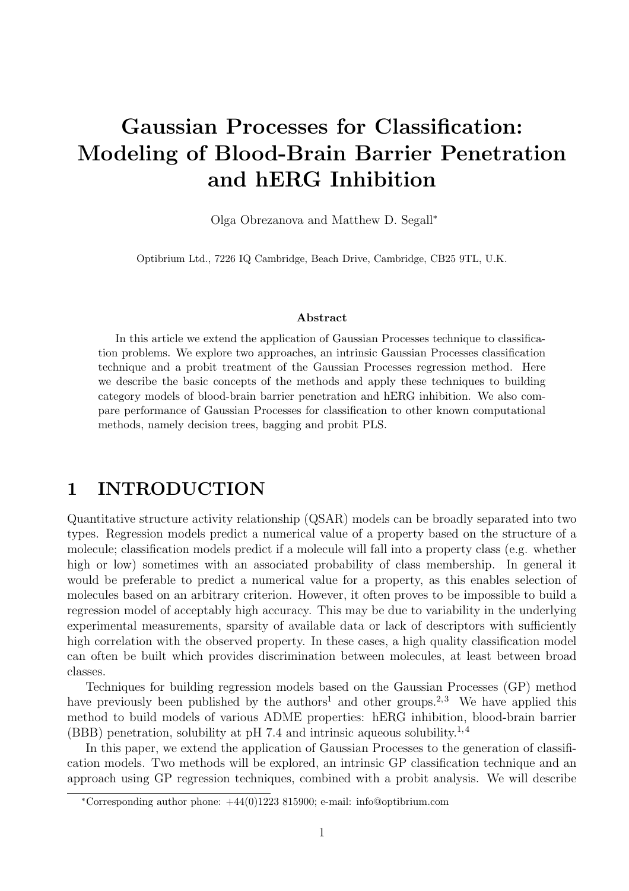# Gaussian Processes for Classification: Modeling of Blood-Brain Barrier Penetration and hERG Inhibition

Olga Obrezanova and Matthew D. Segall<sup>∗</sup>

Optibrium Ltd., 7226 IQ Cambridge, Beach Drive, Cambridge, CB25 9TL, U.K.

#### Abstract

In this article we extend the application of Gaussian Processes technique to classification problems. We explore two approaches, an intrinsic Gaussian Processes classification technique and a probit treatment of the Gaussian Processes regression method. Here we describe the basic concepts of the methods and apply these techniques to building category models of blood-brain barrier penetration and hERG inhibition. We also compare performance of Gaussian Processes for classification to other known computational methods, namely decision trees, bagging and probit PLS.

# 1 INTRODUCTION

Quantitative structure activity relationship (QSAR) models can be broadly separated into two types. Regression models predict a numerical value of a property based on the structure of a molecule; classification models predict if a molecule will fall into a property class (e.g. whether high or low) sometimes with an associated probability of class membership. In general it would be preferable to predict a numerical value for a property, as this enables selection of molecules based on an arbitrary criterion. However, it often proves to be impossible to build a regression model of acceptably high accuracy. This may be due to variability in the underlying experimental measurements, sparsity of available data or lack of descriptors with sufficiently high correlation with the observed property. In these cases, a high quality classification model can often be built which provides discrimination between molecules, at least between broad classes.

Techniques for building regression models based on the Gaussian Processes (GP) method have previously been published by the authors<sup>1</sup> and other groups.<sup>2,3</sup> We have applied this method to build models of various ADME properties: hERG inhibition, blood-brain barrier (BBB) penetration, solubility at pH 7.4 and intrinsic aqueous solubility.<sup>1,4</sup>

In this paper, we extend the application of Gaussian Processes to the generation of classification models. Two methods will be explored, an intrinsic GP classification technique and an approach using GP regression techniques, combined with a probit analysis. We will describe

<sup>∗</sup>Corresponding author phone: +44(0)1223 815900; e-mail: info@optibrium.com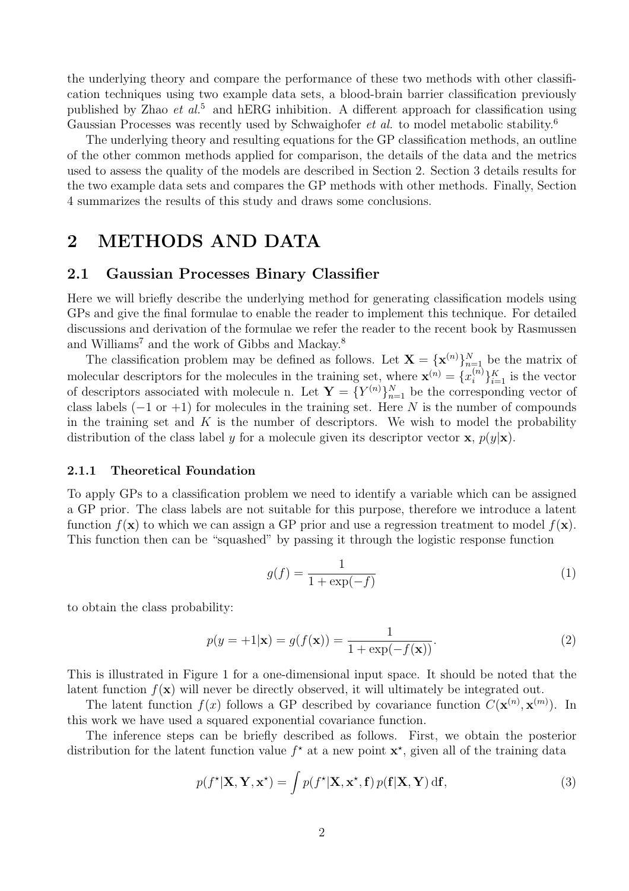the underlying theory and compare the performance of these two methods with other classification techniques using two example data sets, a blood-brain barrier classification previously published by Zhao *et al.*<sup>5</sup> and hERG inhibition. A different approach for classification using Gaussian Processes was recently used by Schwaighofer *et al.* to model metabolic stability.<sup>6</sup>

The underlying theory and resulting equations for the GP classification methods, an outline of the other common methods applied for comparison, the details of the data and the metrics used to assess the quality of the models are described in Section 2. Section 3 details results for the two example data sets and compares the GP methods with other methods. Finally, Section 4 summarizes the results of this study and draws some conclusions.

# 2 METHODS AND DATA

### 2.1 Gaussian Processes Binary Classifier

Here we will briefly describe the underlying method for generating classification models using GPs and give the final formulae to enable the reader to implement this technique. For detailed discussions and derivation of the formulae we refer the reader to the recent book by Rasmussen and Williams<sup>7</sup> and the work of Gibbs and Mackay.<sup>8</sup>

The classification problem may be defined as follows. Let  $\mathbf{X} = {\mathbf{x}^{(n)}}_{n=1}^N$  be the matrix of molecular descriptors for the molecules in the training set, where  $\mathbf{x}^{(n)} = \{x_i^{(n)}\}_{i=1}^K$  is the vector of descriptors associated with molecule n. Let  $\mathbf{Y} = \{Y^{(n)}\}_{n=1}^N$  be the corresponding vector of class labels  $(-1 \text{ or } +1)$  for molecules in the training set. Here N is the number of compounds in the training set and  $K$  is the number of descriptors. We wish to model the probability distribution of the class label y for a molecule given its descriptor vector **x**,  $p(y|\mathbf{x})$ .

#### 2.1.1 Theoretical Foundation

To apply GPs to a classification problem we need to identify a variable which can be assigned a GP prior. The class labels are not suitable for this purpose, therefore we introduce a latent function  $f(\mathbf{x})$  to which we can assign a GP prior and use a regression treatment to model  $f(\mathbf{x})$ . This function then can be "squashed" by passing it through the logistic response function

$$
g(f) = \frac{1}{1 + \exp(-f)}\tag{1}
$$

to obtain the class probability:

$$
p(y = +1|\mathbf{x}) = g(f(\mathbf{x})) = \frac{1}{1 + \exp(-f(\mathbf{x}))}.
$$
 (2)

This is illustrated in Figure 1 for a one-dimensional input space. It should be noted that the latent function  $f(\mathbf{x})$  will never be directly observed, it will ultimately be integrated out.

The latent function  $f(x)$  follows a GP described by covariance function  $C(\mathbf{x}^{(n)}, \mathbf{x}^{(m)})$ . In this work we have used a squared exponential covariance function.

The inference steps can be briefly described as follows. First, we obtain the posterior distribution for the latent function value  $f^*$  at a new point  $\mathbf{x}^*$ , given all of the training data

$$
p(f^*|\mathbf{X}, \mathbf{Y}, \mathbf{x}^*) = \int p(f^*|\mathbf{X}, \mathbf{x}^*, \mathbf{f}) \, p(\mathbf{f}|\mathbf{X}, \mathbf{Y}) \, \mathrm{d}\mathbf{f},\tag{3}
$$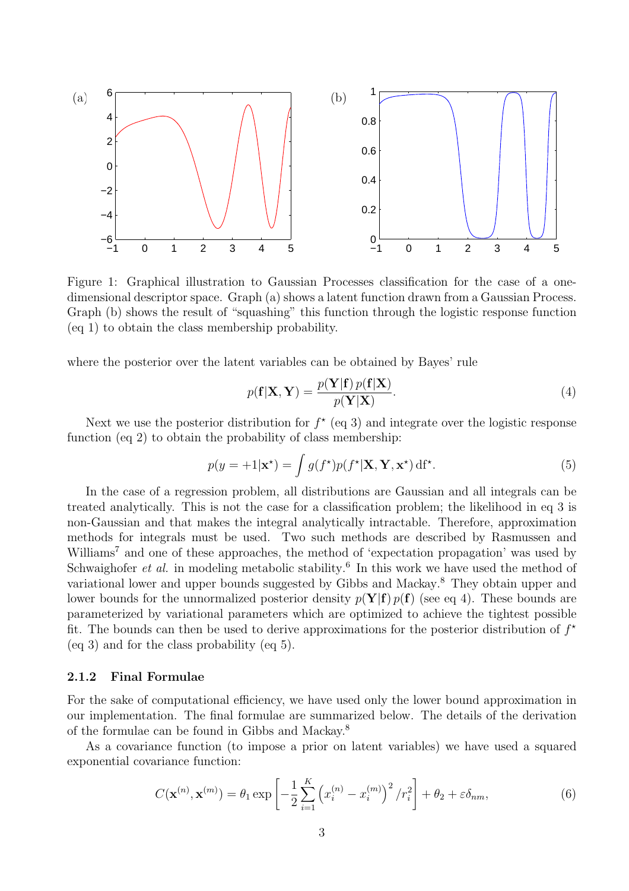

Figure 1: Graphical illustration to Gaussian Processes classification for the case of a onedimensional descriptor space. Graph (a) shows a latent function drawn from a Gaussian Process. Graph (b) shows the result of "squashing" this function through the logistic response function (eq 1) to obtain the class membership probability.

where the posterior over the latent variables can be obtained by Bayes' rule

$$
p(\mathbf{f}|\mathbf{X}, \mathbf{Y}) = \frac{p(\mathbf{Y}|\mathbf{f}) \, p(\mathbf{f}|\mathbf{X})}{p(\mathbf{Y}|\mathbf{X})}.\tag{4}
$$

Next we use the posterior distribution for  $f^*$  (eq 3) and integrate over the logistic response function (eq 2) to obtain the probability of class membership:

$$
p(y = +1|\mathbf{x}^{\star}) = \int g(f^{\star})p(f^{\star}|\mathbf{X}, \mathbf{Y}, \mathbf{x}^{\star}) \, \mathrm{d}f^{\star}.
$$
 (5)

In the case of a regression problem, all distributions are Gaussian and all integrals can be treated analytically. This is not the case for a classification problem; the likelihood in eq 3 is non-Gaussian and that makes the integral analytically intractable. Therefore, approximation methods for integrals must be used. Two such methods are described by Rasmussen and Williams<sup>7</sup> and one of these approaches, the method of 'expectation propagation' was used by Schwaighofer *et al.* in modeling metabolic stability.<sup>6</sup> In this work we have used the method of variational lower and upper bounds suggested by Gibbs and Mackay.<sup>8</sup> They obtain upper and lower bounds for the unnormalized posterior density  $p(Y|f)p(f)$  (see eq 4). These bounds are parameterized by variational parameters which are optimized to achieve the tightest possible fit. The bounds can then be used to derive approximations for the posterior distribution of  $f^*$ (eq 3) and for the class probability (eq 5).

#### 2.1.2 Final Formulae

For the sake of computational efficiency, we have used only the lower bound approximation in our implementation. The final formulae are summarized below. The details of the derivation of the formulae can be found in Gibbs and Mackay.<sup>8</sup>

As a covariance function (to impose a prior on latent variables) we have used a squared exponential covariance function:

$$
C(\mathbf{x}^{(n)}, \mathbf{x}^{(m)}) = \theta_1 \exp\left[ -\frac{1}{2} \sum_{i=1}^{K} \left( x_i^{(n)} - x_i^{(m)} \right)^2 / r_i^2 \right] + \theta_2 + \varepsilon \delta_{nm}, \tag{6}
$$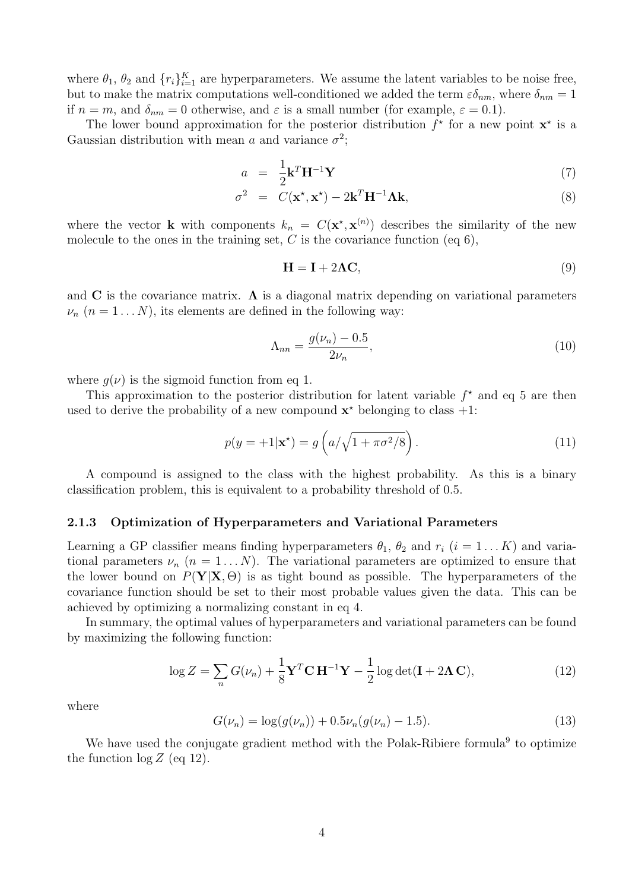where  $\theta_1$ ,  $\theta_2$  and  $\{r_i\}_{i=1}^K$  are hyperparameters. We assume the latent variables to be noise free, but to make the matrix computations well-conditioned we added the term  $\varepsilon \delta_{nm}$ , where  $\delta_{nm} = 1$ if  $n = m$ , and  $\delta_{nm} = 0$  otherwise, and  $\varepsilon$  is a small number (for example,  $\varepsilon = 0.1$ ).

The lower bound approximation for the posterior distribution  $f^*$  for a new point  $\mathbf{x}^*$  is a Gaussian distribution with mean a and variance  $\sigma^2$ ;

$$
a = \frac{1}{2} \mathbf{k}^T \mathbf{H}^{-1} \mathbf{Y} \tag{7}
$$

$$
\sigma^2 = C(\mathbf{x}^*, \mathbf{x}^*) - 2\mathbf{k}^T \mathbf{H}^{-1} \mathbf{\Lambda} \mathbf{k}, \tag{8}
$$

where the vector **k** with components  $k_n = C(\mathbf{x}^*, \mathbf{x}^{(n)})$  describes the similarity of the new molecule to the ones in the training set,  $C$  is the covariance function (eq 6),

$$
\mathbf{H} = \mathbf{I} + 2\mathbf{\Lambda}\mathbf{C},\tag{9}
$$

and C is the covariance matrix.  $\Lambda$  is a diagonal matrix depending on variational parameters  $\nu_n$   $(n = 1...N)$ , its elements are defined in the following way:

$$
\Lambda_{nn} = \frac{g(\nu_n) - 0.5}{2\nu_n},
$$
\n(10)

where  $g(\nu)$  is the sigmoid function from eq 1.

This approximation to the posterior distribution for latent variable  $f^*$  and eq 5 are then used to derive the probability of a new compound  $\mathbf{x}^*$  belonging to class  $+1$ :

$$
p(y = +1|\mathbf{x}^*) = g\left(a/\sqrt{1+\pi\sigma^2/8}\right). \tag{11}
$$

A compound is assigned to the class with the highest probability. As this is a binary classification problem, this is equivalent to a probability threshold of 0.5.

#### 2.1.3 Optimization of Hyperparameters and Variational Parameters

Learning a GP classifier means finding hyperparameters  $\theta_1$ ,  $\theta_2$  and  $r_i$   $(i = 1...K)$  and variational parameters  $\nu_n$   $(n = 1...N)$ . The variational parameters are optimized to ensure that the lower bound on  $P(Y|X, \Theta)$  is as tight bound as possible. The hyperparameters of the covariance function should be set to their most probable values given the data. This can be achieved by optimizing a normalizing constant in eq 4.

In summary, the optimal values of hyperparameters and variational parameters can be found by maximizing the following function:

$$
\log Z = \sum_{n} G(\nu_n) + \frac{1}{8} \mathbf{Y}^T \mathbf{C} \mathbf{H}^{-1} \mathbf{Y} - \frac{1}{2} \log \det(\mathbf{I} + 2\mathbf{\Lambda} \mathbf{C}),\tag{12}
$$

where

$$
G(\nu_n) = \log(g(\nu_n)) + 0.5\nu_n(g(\nu_n) - 1.5). \tag{13}
$$

We have used the conjugate gradient method with the Polak-Ribiere formula<sup>9</sup> to optimize the function  $\log Z$  (eq 12).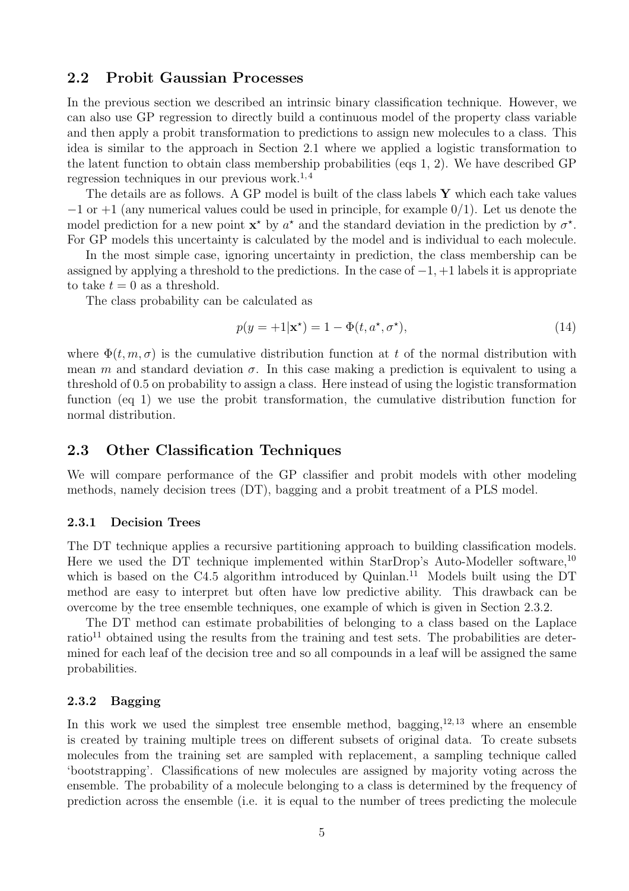## 2.2 Probit Gaussian Processes

In the previous section we described an intrinsic binary classification technique. However, we can also use GP regression to directly build a continuous model of the property class variable and then apply a probit transformation to predictions to assign new molecules to a class. This idea is similar to the approach in Section 2.1 where we applied a logistic transformation to the latent function to obtain class membership probabilities (eqs 1, 2). We have described GP regression techniques in our previous work. $^{1,4}$ 

The details are as follows. A GP model is built of the class labels  $Y$  which each take values  $-1$  or  $+1$  (any numerical values could be used in principle, for example  $0/1$ ). Let us denote the model prediction for a new point  $\mathbf{x}^*$  by  $a^*$  and the standard deviation in the prediction by  $\sigma^*$ . For GP models this uncertainty is calculated by the model and is individual to each molecule.

In the most simple case, ignoring uncertainty in prediction, the class membership can be assigned by applying a threshold to the predictions. In the case of  $-1$ ,  $+1$  labels it is appropriate to take  $t = 0$  as a threshold.

The class probability can be calculated as

$$
p(y = +1|\mathbf{x}^{\star}) = 1 - \Phi(t, a^{\star}, \sigma^{\star}),
$$
\n(14)

where  $\Phi(t, m, \sigma)$  is the cumulative distribution function at t of the normal distribution with mean m and standard deviation  $\sigma$ . In this case making a prediction is equivalent to using a threshold of 0.5 on probability to assign a class. Here instead of using the logistic transformation function (eq 1) we use the probit transformation, the cumulative distribution function for normal distribution.

## 2.3 Other Classification Techniques

We will compare performance of the GP classifier and probit models with other modeling methods, namely decision trees (DT), bagging and a probit treatment of a PLS model.

#### 2.3.1 Decision Trees

The DT technique applies a recursive partitioning approach to building classification models. Here we used the DT technique implemented within StarDrop's Auto-Modeller software,<sup>10</sup> which is based on the C4.5 algorithm introduced by Quinlan.<sup>11</sup> Models built using the DT method are easy to interpret but often have low predictive ability. This drawback can be overcome by the tree ensemble techniques, one example of which is given in Section 2.3.2.

The DT method can estimate probabilities of belonging to a class based on the Laplace ratio<sup>11</sup> obtained using the results from the training and test sets. The probabilities are determined for each leaf of the decision tree and so all compounds in a leaf will be assigned the same probabilities.

#### 2.3.2 Bagging

In this work we used the simplest tree ensemble method, bagging,  $12,13$  where an ensemble is created by training multiple trees on different subsets of original data. To create subsets molecules from the training set are sampled with replacement, a sampling technique called 'bootstrapping'. Classifications of new molecules are assigned by majority voting across the ensemble. The probability of a molecule belonging to a class is determined by the frequency of prediction across the ensemble (i.e. it is equal to the number of trees predicting the molecule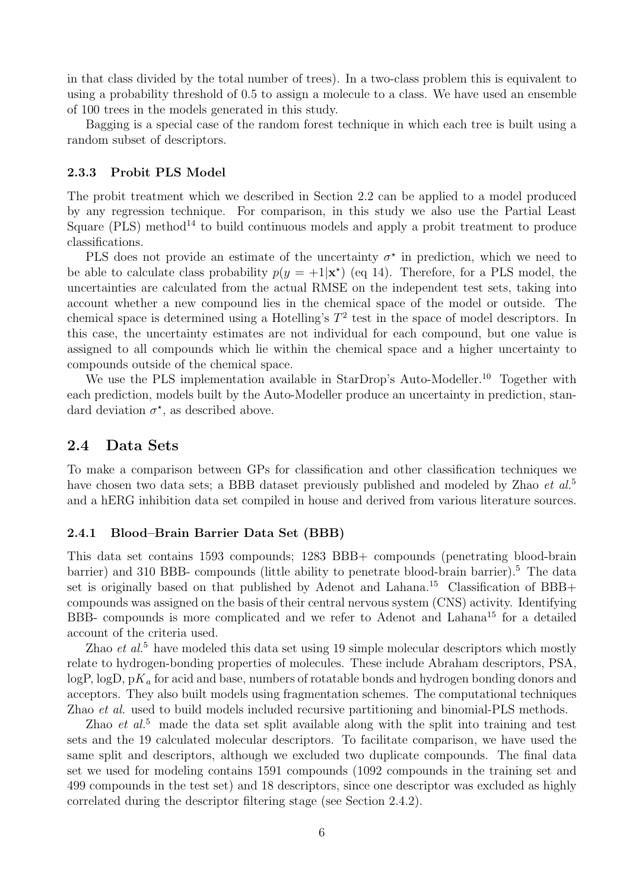in that class divided by the total number of trees). In a two-class problem this is equivalent to using a probability threshold of 0.5 to assign a molecule to a class. We have used an ensemble of 100 trees in the models generated in this study.

Bagging is a special case of the random forest technique in which each tree is built using a random subset of descriptors.

#### 2.3.3 Probit PLS Model

The probit treatment which we described in Section 2.2 can be applied to a model produced by any regression technique. For comparison, in this study we also use the Partial Least Square (PLS) method<sup>14</sup> to build continuous models and apply a probit treatment to produce classifications.

PLS does not provide an estimate of the uncertainty  $\sigma^*$  in prediction, which we need to be able to calculate class probability  $p(y = +1|\mathbf{x}^*)$  (eq 14). Therefore, for a PLS model, the uncertainties are calculated from the actual RMSE on the independent test sets, taking into account whether a new compound lies in the chemical space of the model or outside. The chemical space is determined using a Hotelling's  $T^2$  test in the space of model descriptors. In this case, the uncertainty estimates are not individual for each compound, but one value is assigned to all compounds which lie within the chemical space and a higher uncertainty to compounds outside of the chemical space.

We use the PLS implementation available in StarDrop's Auto-Modeller.<sup>10</sup> Together with each prediction, models built by the Auto-Modeller produce an uncertainty in prediction, standard deviation  $\sigma^*$ , as described above.

### 2.4 Data Sets

To make a comparison between GPs for classification and other classification techniques we have chosen two data sets; a BBB dataset previously published and modeled by Zhao *et al.*<sup>5</sup> and a hERG inhibition data set compiled in house and derived from various literature sources.

#### 2.4.1 Blood–Brain Barrier Data Set (BBB)

This data set contains 1593 compounds; 1283 BBB+ compounds (penetrating blood-brain barrier) and 310 BBB- compounds (little ability to penetrate blood-brain barrier).<sup>5</sup> The data set is originally based on that published by Adenot and Lahana.<sup>15</sup> Classification of  $BBB+$ compounds was assigned on the basis of their central nervous system (CNS) activity. Identifying BBB- compounds is more complicated and we refer to Adenot and Lahana<sup>15</sup> for a detailed account of the criteria used.

Zhao *et al.*<sup>5</sup> have modeled this data set using 19 simple molecular descriptors which mostly relate to hydrogen-bonding properties of molecules. These include Abraham descriptors, PSA, logP, logD, p*K<sub>a</sub>* for acid and base, numbers of rotatable bonds and hydrogen bonding donors and acceptors. They also built models using fragmentation schemes. The computational techniques Zhao *et al.* used to build models included recursive partitioning and binomial-PLS methods.

Zhao *et al.*<sup>5</sup> made the data set split available along with the split into training and test sets and the 19 calculated molecular descriptors. To facilitate comparison, we have used the same split and descriptors, although we excluded two duplicate compounds. The final data set we used for modeling contains 1591 compounds (1092 compounds in the training set and 499 compounds in the test set) and 18 descriptors, since one descriptor was excluded as highly correlated during the descriptor filtering stage (see Section 2.4.2).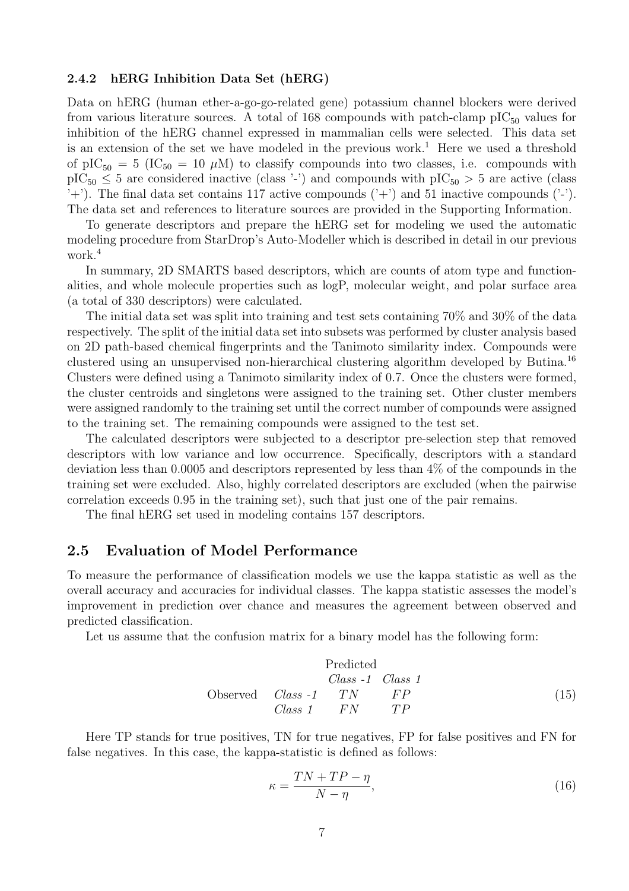#### 2.4.2 hERG Inhibition Data Set (hERG)

Data on hERG (human ether-a-go-go-related gene) potassium channel blockers were derived from various literature sources. A total of 168 compounds with patch-clamp  $\text{pIC}_{50}$  values for inhibition of the hERG channel expressed in mammalian cells were selected. This data set is an extension of the set we have modeled in the previous work.<sup>1</sup> Here we used a threshold of pIC<sub>50</sub> = 5 (IC<sub>50</sub> = 10  $\mu$ M) to classify compounds into two classes, i.e. compounds with  $pIC_{50} \leq 5$  are considered inactive (class '-') and compounds with  $pIC_{50} > 5$  are active (class '+'). The final data set contains 117 active compounds  $(2+1)$  and 51 inactive compounds  $(2-1)$ . The data set and references to literature sources are provided in the Supporting Information.

To generate descriptors and prepare the hERG set for modeling we used the automatic modeling procedure from StarDrop's Auto-Modeller which is described in detail in our previous work.<sup>4</sup>

In summary, 2D SMARTS based descriptors, which are counts of atom type and functionalities, and whole molecule properties such as logP, molecular weight, and polar surface area (a total of 330 descriptors) were calculated.

The initial data set was split into training and test sets containing 70% and 30% of the data respectively. The split of the initial data set into subsets was performed by cluster analysis based on 2D path-based chemical fingerprints and the Tanimoto similarity index. Compounds were clustered using an unsupervised non-hierarchical clustering algorithm developed by Butina.<sup>16</sup> Clusters were defined using a Tanimoto similarity index of 0.7. Once the clusters were formed, the cluster centroids and singletons were assigned to the training set. Other cluster members were assigned randomly to the training set until the correct number of compounds were assigned to the training set. The remaining compounds were assigned to the test set.

The calculated descriptors were subjected to a descriptor pre-selection step that removed descriptors with low variance and low occurrence. Specifically, descriptors with a standard deviation less than 0.0005 and descriptors represented by less than 4% of the compounds in the training set were excluded. Also, highly correlated descriptors are excluded (when the pairwise correlation exceeds 0.95 in the training set), such that just one of the pair remains.

The final hERG set used in modeling contains 157 descriptors.

# 2.5 Evaluation of Model Performance

To measure the performance of classification models we use the kappa statistic as well as the overall accuracy and accuracies for individual classes. The kappa statistic assesses the model's improvement in prediction over chance and measures the agreement between observed and predicted classification.

Let us assume that the confusion matrix for a binary model has the following form:

$$
\begin{array}{ccc}\n & \text{Predicted} \\
& Class -1 & Class 1 \\
\text{Observed} & Class -1 & TN & FP \\
& Class 1 & FN & TP\n \end{array}\n \tag{15}
$$

Here TP stands for true positives, TN for true negatives, FP for false positives and FN for false negatives. In this case, the kappa-statistic is defined as follows:

$$
\kappa = \frac{TN + TP - \eta}{N - \eta},\tag{16}
$$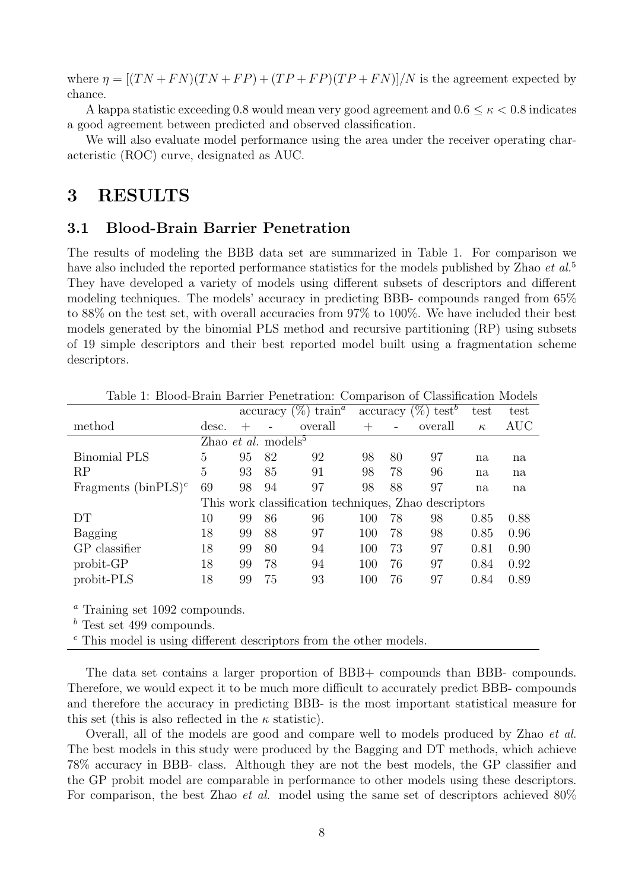where  $\eta = [(TN + FN)(TN + FP) + (TP + FP)(TP + FN)]/N$  is the agreement expected by chance.

A kappa statistic exceeding 0.8 would mean very good agreement and  $0.6 \leq \kappa < 0.8$  indicates a good agreement between predicted and observed classification.

We will also evaluate model performance using the area under the receiver operating characteristic (ROC) curve, designated as AUC.

# 3 RESULTS

# 3.1 Blood-Brain Barrier Penetration

The results of modeling the BBB data set are summarized in Table 1. For comparison we have also included the reported performance statistics for the models published by Zhao *et al.*<sup>5</sup> They have developed a variety of models using different subsets of descriptors and different modeling techniques. The models' accuracy in predicting BBB- compounds ranged from 65% to 88% on the test set, with overall accuracies from 97% to 100%. We have included their best models generated by the binomial PLS method and recursive partitioning (RP) using subsets of 19 simple descriptors and their best reported model built using a fragmentation scheme descriptors.

| rable 1: Diood-Drain Darrier Penetration: Comparison of Classincation Models |                                        |        |    |                                            |        |                          |                                            |          |            |
|------------------------------------------------------------------------------|----------------------------------------|--------|----|--------------------------------------------|--------|--------------------------|--------------------------------------------|----------|------------|
|                                                                              |                                        |        |    | $\arccuracy$ (%) train <sup><i>a</i></sup> |        |                          | $\alpha$ accuracy $(\%)$ test <sup>b</sup> | test     | test       |
| method                                                                       | desc.                                  | $^{+}$ |    | overall                                    | $^{+}$ | $\overline{\phantom{0}}$ | overall                                    | $\kappa$ | <b>AUC</b> |
|                                                                              | Zhao <i>et al.</i> models <sup>5</sup> |        |    |                                            |        |                          |                                            |          |            |
| <b>Binomial PLS</b>                                                          | 5                                      | 95     | 82 | 92                                         | 98     | 80                       | 97                                         | na       | na         |
| RP                                                                           | 5                                      | 93     | 85 | 91                                         | 98     | 78                       | 96                                         | na       | na         |
| Fragments (binPLS) <sup><math>c</math></sup>                                 | 69                                     | 98     | 94 | 97                                         | 98     | 88                       | 97                                         | na       | na         |
| This work classification techniques, Zhao descriptors                        |                                        |        |    |                                            |        |                          |                                            |          |            |
| DT                                                                           | 10                                     | 99     | 86 | 96                                         | 100    | 78                       | 98                                         | 0.85     | 0.88       |
| Bagging                                                                      | 18                                     | 99     | 88 | 97                                         | 100    | 78                       | 98                                         | 0.85     | 0.96       |
| GP classifier                                                                | 18                                     | 99     | 80 | 94                                         | 100    | 73                       | 97                                         | 0.81     | 0.90       |
| probit-GP                                                                    | 18                                     | 99     | 78 | 94                                         | 100    | 76                       | 97                                         | 0.84     | 0.92       |
| probit-PLS                                                                   | 18                                     | 99     | 75 | 93                                         | 100    | 76                       | 97                                         | 0.84     | 0.89       |

Table 1: Blood-Brain Barrier Penetration: Comparison of Classification Models

<sup>a</sup> Training set 1092 compounds.

 $<sup>b</sup>$  Test set 499 compounds.</sup>

 $\epsilon$ . This model is using different descriptors from the other models.

The data set contains a larger proportion of BBB+ compounds than BBB- compounds. Therefore, we would expect it to be much more difficult to accurately predict BBB- compounds and therefore the accuracy in predicting BBB- is the most important statistical measure for this set (this is also reflected in the  $\kappa$  statistic).

Overall, all of the models are good and compare well to models produced by Zhao *et al*. The best models in this study were produced by the Bagging and DT methods, which achieve 78% accuracy in BBB- class. Although they are not the best models, the GP classifier and the GP probit model are comparable in performance to other models using these descriptors. For comparison, the best Zhao *et al.* model using the same set of descriptors achieved 80%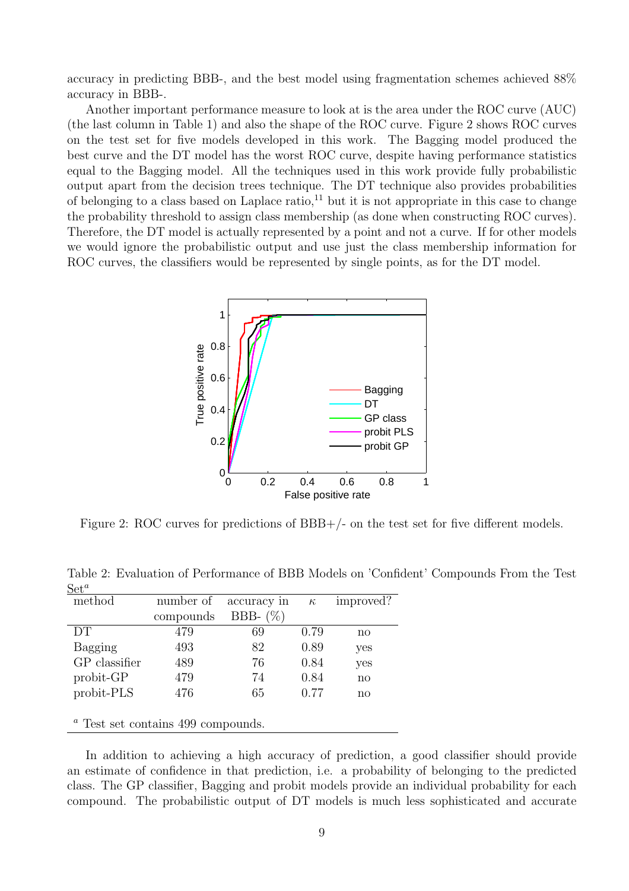accuracy in predicting BBB-, and the best model using fragmentation schemes achieved 88% accuracy in BBB-.

Another important performance measure to look at is the area under the ROC curve (AUC) (the last column in Table 1) and also the shape of the ROC curve. Figure 2 shows ROC curves on the test set for five models developed in this work. The Bagging model produced the best curve and the DT model has the worst ROC curve, despite having performance statistics equal to the Bagging model. All the techniques used in this work provide fully probabilistic output apart from the decision trees technique. The DT technique also provides probabilities of belonging to a class based on Laplace ratio, $^{11}$  but it is not appropriate in this case to change the probability threshold to assign class membership (as done when constructing ROC curves). Therefore, the DT model is actually represented by a point and not a curve. If for other models we would ignore the probabilistic output and use just the class membership information for ROC curves, the classifiers would be represented by single points, as for the DT model.



Figure 2: ROC curves for predictions of BBB+/- on the test set for five different models.

| method                                    | number of | accuracy in | $\kappa$ | improved?    |  |  |  |
|-------------------------------------------|-----------|-------------|----------|--------------|--|--|--|
|                                           | compounds | BBB- $(\%)$ |          |              |  |  |  |
| DT                                        | 479       | 69          | 0.79     | $\mathbf{n}$ |  |  |  |
| Bagging                                   | 493       | 82          | 0.89     | yes          |  |  |  |
| GP classifier                             | 489       | 76          | 0.84     | yes          |  |  |  |
| probit-GP                                 | 479       | 74          | 0.84     | $\mathbf{n}$ |  |  |  |
| probit-PLS                                | 476       | 65          | 0.77     | $\mathbf{n}$ |  |  |  |
|                                           |           |             |          |              |  |  |  |
| $\alpha$ Test set contains 499 compounds. |           |             |          |              |  |  |  |

Table 2: Evaluation of Performance of BBB Models on 'Confident' Compounds From the Test  $Set^a$ 

In addition to achieving a high accuracy of prediction, a good classifier should provide an estimate of confidence in that prediction, i.e. a probability of belonging to the predicted class. The GP classifier, Bagging and probit models provide an individual probability for each compound. The probabilistic output of DT models is much less sophisticated and accurate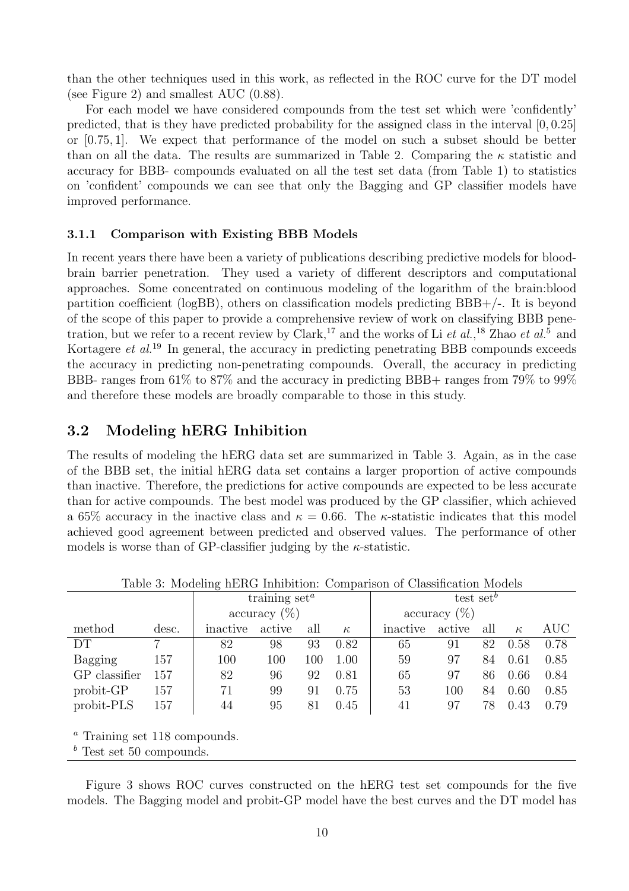than the other techniques used in this work, as reflected in the ROC curve for the DT model (see Figure 2) and smallest AUC (0.88).

For each model we have considered compounds from the test set which were 'confidently' predicted, that is they have predicted probability for the assigned class in the interval [0, 0.25] or [0.75, 1]. We expect that performance of the model on such a subset should be better than on all the data. The results are summarized in Table 2. Comparing the  $\kappa$  statistic and accuracy for BBB- compounds evaluated on all the test set data (from Table 1) to statistics on 'confident' compounds we can see that only the Bagging and GP classifier models have improved performance.

### 3.1.1 Comparison with Existing BBB Models

In recent years there have been a variety of publications describing predictive models for bloodbrain barrier penetration. They used a variety of different descriptors and computational approaches. Some concentrated on continuous modeling of the logarithm of the brain:blood partition coefficient (logBB), others on classification models predicting BBB+/-. It is beyond of the scope of this paper to provide a comprehensive review of work on classifying BBB penetration, but we refer to a recent review by Clark,<sup>17</sup> and the works of Li *et al.*,<sup>18</sup> Zhao *et al.*<sup>5</sup> and Kortagere *et al.*<sup>19</sup> In general, the accuracy in predicting penetrating BBB compounds exceeds the accuracy in predicting non-penetrating compounds. Overall, the accuracy in predicting BBB- ranges from 61% to 87% and the accuracy in predicting BBB+ ranges from 79% to 99% and therefore these models are broadly comparable to those in this study.

# 3.2 Modeling hERG Inhibition

The results of modeling the hERG data set are summarized in Table 3. Again, as in the case of the BBB set, the initial hERG data set contains a larger proportion of active compounds than inactive. Therefore, the predictions for active compounds are expected to be less accurate than for active compounds. The best model was produced by the GP classifier, which achieved a 65% accuracy in the inactive class and  $\kappa = 0.66$ . The  $\kappa$ -statistic indicates that this model achieved good agreement between predicted and observed values. The performance of other models is worse than of GP-classifier judging by the  $\kappa$ -statistic.

| Table 6. Modernig harter minoriton. Comparison or Classification Models |                      |                                     |        |     |                 |                       |        |     |          |      |  |
|-------------------------------------------------------------------------|----------------------|-------------------------------------|--------|-----|-----------------|-----------------------|--------|-----|----------|------|--|
|                                                                         |                      | training $set^a$                    |        |     |                 | test set <sup>b</sup> |        |     |          |      |  |
|                                                                         |                      | $\arctan\left(\frac{\%}{\%}\right)$ |        |     | accuracy $(\%)$ |                       |        |     |          |      |  |
| method                                                                  | desc.                | inactive                            | active | all | $\kappa$        | inactive              | active | all | $\kappa$ | AUC  |  |
| DT                                                                      |                      | 82                                  | 98     | 93  | 0.82            | 65                    | 91     | 82  | 0.58     | 0.78 |  |
| Bagging                                                                 | 157                  | 100                                 | 100    | 100 | 1.00            | 59                    | 97     | 84  | 0.61     | 0.85 |  |
| GP classifier                                                           | 157                  | 82                                  | 96     | 92  | 0.81            | 65                    | 97     | 86  | 0.66     | 0.84 |  |
| $probit-GP$                                                             | 157                  | 71                                  | 99     | 91  | 0.75            | 53                    | 100    | 84  | 0.60     | 0.85 |  |
| probit-PLS                                                              | 157                  | 44                                  | 95     | 81  | 0.45            | 41                    | 97     | 78  | 0.43     | 0.79 |  |
|                                                                         |                      |                                     |        |     |                 |                       |        |     |          |      |  |
| $\sim$ $\sim$ $\sim$ $\sim$                                             | $\sim$ $\sim$ $\sim$ |                                     |        |     |                 |                       |        |     |          |      |  |

Table 3: Modeling hERG Inhibition: Comparison of Classification Models

<sup>a</sup> Training set 118 compounds.

 $b$  Test set 50 compounds.

Figure 3 shows ROC curves constructed on the hERG test set compounds for the five models. The Bagging model and probit-GP model have the best curves and the DT model has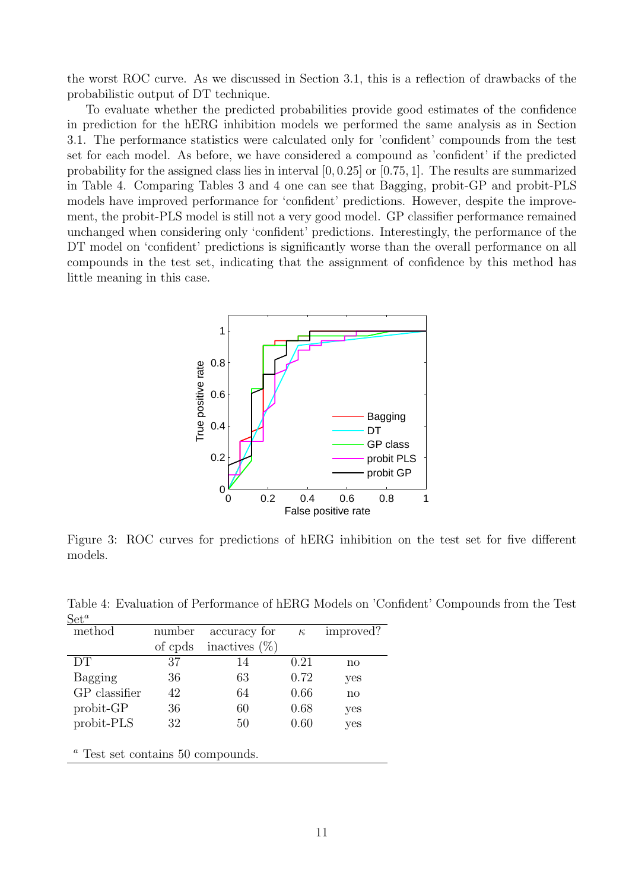the worst ROC curve. As we discussed in Section 3.1, this is a reflection of drawbacks of the probabilistic output of DT technique.

To evaluate whether the predicted probabilities provide good estimates of the confidence in prediction for the hERG inhibition models we performed the same analysis as in Section 3.1. The performance statistics were calculated only for 'confident' compounds from the test set for each model. As before, we have considered a compound as 'confident' if the predicted probability for the assigned class lies in interval [0, 0.25] or [0.75, 1]. The results are summarized in Table 4. Comparing Tables 3 and 4 one can see that Bagging, probit-GP and probit-PLS models have improved performance for 'confident' predictions. However, despite the improvement, the probit-PLS model is still not a very good model. GP classifier performance remained unchanged when considering only 'confident' predictions. Interestingly, the performance of the DT model on 'confident' predictions is significantly worse than the overall performance on all compounds in the test set, indicating that the assignment of confidence by this method has little meaning in this case.



Figure 3: ROC curves for predictions of hERG inhibition on the test set for five different models.

| $\text{Det}^{\omega}$ |         |                  |          |                        |  |  |
|-----------------------|---------|------------------|----------|------------------------|--|--|
| method                | number  | accuracy for     | $\kappa$ | improved?              |  |  |
|                       | of cpds | inactives $(\%)$ |          |                        |  |  |
| DT                    | 37      | 14               | 0.21     | $\mathbf{n}\mathbf{o}$ |  |  |
| Bagging               | 36      | 63               | 0.72     | yes                    |  |  |
| GP classifier         | 42      | 64               | 0.66     | $\mathbf{n}$           |  |  |
| probit-GP             | 36      | 60               | 0.68     | yes                    |  |  |
| probit-PLS            | 32      | 50               | 0.60     | yes                    |  |  |
|                       |         |                  |          |                        |  |  |
|                       |         |                  |          |                        |  |  |

Table 4: Evaluation of Performance of hERG Models on 'Confident' Compounds from the Test  $\Omega \cup a$ 

<sup>a</sup> Test set contains 50 compounds.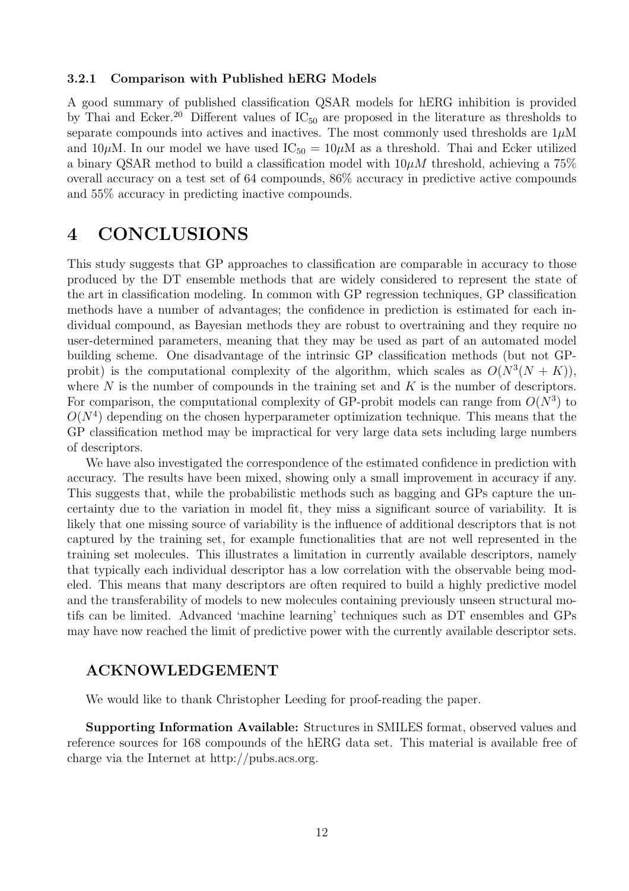#### 3.2.1 Comparison with Published hERG Models

A good summary of published classification QSAR models for hERG inhibition is provided by Thai and Ecker.<sup>20</sup> Different values of  $IC_{50}$  are proposed in the literature as thresholds to separate compounds into actives and inactives. The most commonly used thresholds are  $1\mu$ M and 10 $\mu$ M. In our model we have used  $IC_{50} = 10 \mu M$  as a threshold. Thai and Ecker utilized a binary QSAR method to build a classification model with  $10\mu M$  threshold, achieving a 75% overall accuracy on a test set of 64 compounds, 86% accuracy in predictive active compounds and 55% accuracy in predicting inactive compounds.

# 4 CONCLUSIONS

This study suggests that GP approaches to classification are comparable in accuracy to those produced by the DT ensemble methods that are widely considered to represent the state of the art in classification modeling. In common with GP regression techniques, GP classification methods have a number of advantages; the confidence in prediction is estimated for each individual compound, as Bayesian methods they are robust to overtraining and they require no user-determined parameters, meaning that they may be used as part of an automated model building scheme. One disadvantage of the intrinsic GP classification methods (but not GPprobit) is the computational complexity of the algorithm, which scales as  $O(N^3(N+K))$ , where  $N$  is the number of compounds in the training set and  $K$  is the number of descriptors. For comparison, the computational complexity of GP-probit models can range from  $O(N^3)$  to  $O(N<sup>4</sup>)$  depending on the chosen hyperparameter optimization technique. This means that the GP classification method may be impractical for very large data sets including large numbers of descriptors.

We have also investigated the correspondence of the estimated confidence in prediction with accuracy. The results have been mixed, showing only a small improvement in accuracy if any. This suggests that, while the probabilistic methods such as bagging and GPs capture the uncertainty due to the variation in model fit, they miss a significant source of variability. It is likely that one missing source of variability is the influence of additional descriptors that is not captured by the training set, for example functionalities that are not well represented in the training set molecules. This illustrates a limitation in currently available descriptors, namely that typically each individual descriptor has a low correlation with the observable being modeled. This means that many descriptors are often required to build a highly predictive model and the transferability of models to new molecules containing previously unseen structural motifs can be limited. Advanced 'machine learning' techniques such as DT ensembles and GPs may have now reached the limit of predictive power with the currently available descriptor sets.

## ACKNOWLEDGEMENT

We would like to thank Christopher Leeding for proof-reading the paper.

Supporting Information Available: Structures in SMILES format, observed values and reference sources for 168 compounds of the hERG data set. This material is available free of charge via the Internet at http://pubs.acs.org.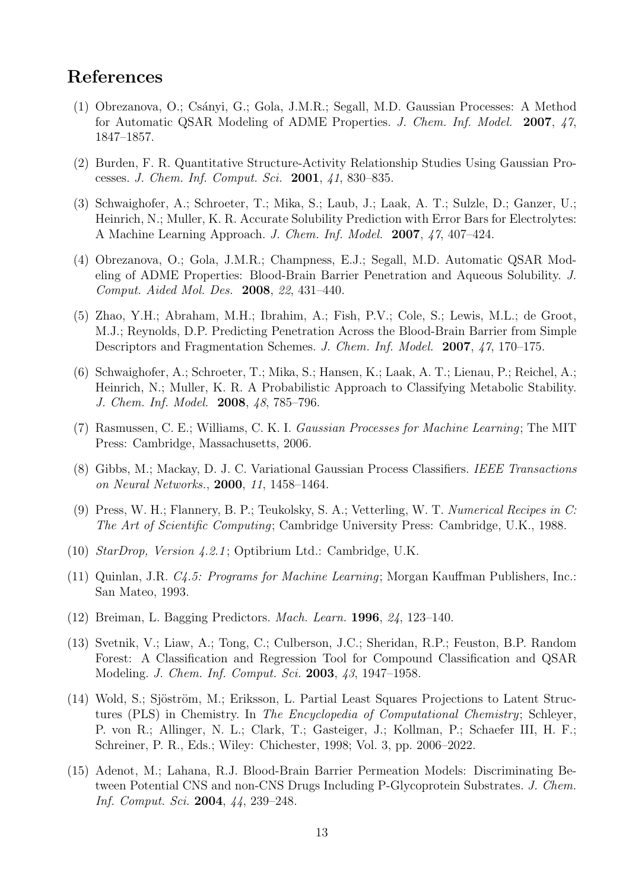# References

- (1) Obrezanova, O.; Cs´anyi, G.; Gola, J.M.R.; Segall, M.D. Gaussian Processes: A Method for Automatic QSAR Modeling of ADME Properties. *J. Chem. Inf. Model.* 2007, *47*, 1847–1857.
- (2) Burden, F. R. Quantitative Structure-Activity Relationship Studies Using Gaussian Processes. *J. Chem. Inf. Comput. Sci.* 2001, *41*, 830–835.
- (3) Schwaighofer, A.; Schroeter, T.; Mika, S.; Laub, J.; Laak, A. T.; Sulzle, D.; Ganzer, U.; Heinrich, N.; Muller, K. R. Accurate Solubility Prediction with Error Bars for Electrolytes: A Machine Learning Approach. *J. Chem. Inf. Model.* 2007, *47*, 407–424.
- (4) Obrezanova, O.; Gola, J.M.R.; Champness, E.J.; Segall, M.D. Automatic QSAR Modeling of ADME Properties: Blood-Brain Barrier Penetration and Aqueous Solubility. *J. Comput. Aided Mol. Des.* 2008, *22*, 431–440.
- (5) Zhao, Y.H.; Abraham, M.H.; Ibrahim, A.; Fish, P.V.; Cole, S.; Lewis, M.L.; de Groot, M.J.; Reynolds, D.P. Predicting Penetration Across the Blood-Brain Barrier from Simple Descriptors and Fragmentation Schemes. *J. Chem. Inf. Model.* 2007, *47*, 170–175.
- (6) Schwaighofer, A.; Schroeter, T.; Mika, S.; Hansen, K.; Laak, A. T.; Lienau, P.; Reichel, A.; Heinrich, N.; Muller, K. R. A Probabilistic Approach to Classifying Metabolic Stability. *J. Chem. Inf. Model.* 2008, *48*, 785–796.
- (7) Rasmussen, C. E.; Williams, C. K. I. *Gaussian Processes for Machine Learning*; The MIT Press: Cambridge, Massachusetts, 2006.
- (8) Gibbs, M.; Mackay, D. J. C. Variational Gaussian Process Classifiers. *IEEE Transactions on Neural Networks.*, 2000, *11*, 1458–1464.
- (9) Press, W. H.; Flannery, B. P.; Teukolsky, S. A.; Vetterling, W. T. *Numerical Recipes in C: The Art of Scientific Computing*; Cambridge University Press: Cambridge, U.K., 1988.
- (10) *StarDrop, Version 4.2.1* ; Optibrium Ltd.: Cambridge, U.K.
- (11) Quinlan, J.R. *C4.5: Programs for Machine Learning*; Morgan Kauffman Publishers, Inc.: San Mateo, 1993.
- (12) Breiman, L. Bagging Predictors. *Mach. Learn.* 1996, *24*, 123–140.
- (13) Svetnik, V.; Liaw, A.; Tong, C.; Culberson, J.C.; Sheridan, R.P.; Feuston, B.P. Random Forest: A Classification and Regression Tool for Compound Classification and QSAR Modeling. *J. Chem. Inf. Comput. Sci.* 2003, *43*, 1947–1958.
- (14) Wold, S.; Sjöström, M.; Eriksson, L. Partial Least Squares Projections to Latent Structures (PLS) in Chemistry. In *The Encyclopedia of Computational Chemistry*; Schleyer, P. von R.; Allinger, N. L.; Clark, T.; Gasteiger, J.; Kollman, P.; Schaefer III, H. F.; Schreiner, P. R., Eds.; Wiley: Chichester, 1998; Vol. 3, pp. 2006–2022.
- (15) Adenot, M.; Lahana, R.J. Blood-Brain Barrier Permeation Models: Discriminating Between Potential CNS and non-CNS Drugs Including P-Glycoprotein Substrates. *J. Chem. Inf. Comput. Sci.* 2004, *44*, 239–248.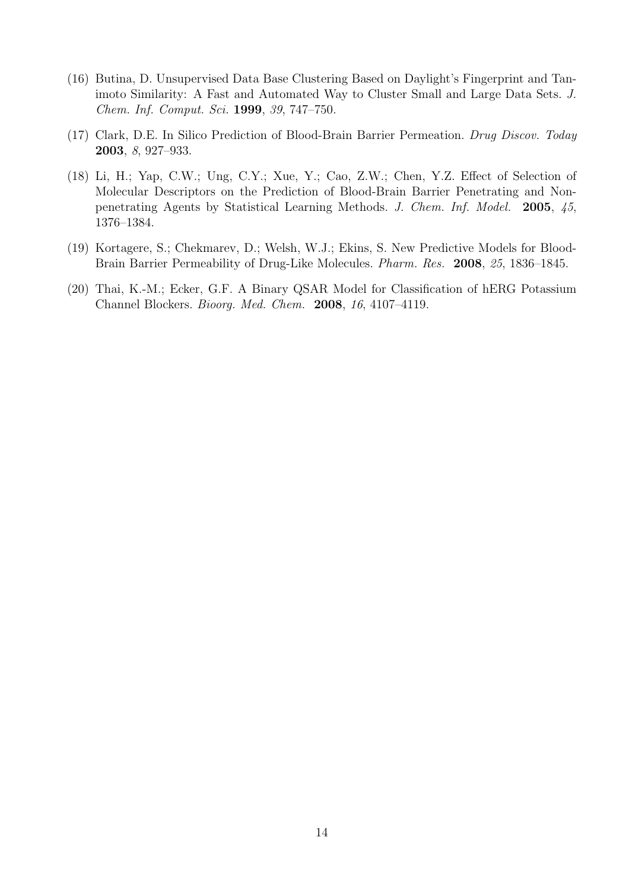- (16) Butina, D. Unsupervised Data Base Clustering Based on Daylight's Fingerprint and Tanimoto Similarity: A Fast and Automated Way to Cluster Small and Large Data Sets. *J. Chem. Inf. Comput. Sci.* 1999, *39*, 747–750.
- (17) Clark, D.E. In Silico Prediction of Blood-Brain Barrier Permeation. *Drug Discov. Today* 2003, *8*, 927–933.
- (18) Li, H.; Yap, C.W.; Ung, C.Y.; Xue, Y.; Cao, Z.W.; Chen, Y.Z. Effect of Selection of Molecular Descriptors on the Prediction of Blood-Brain Barrier Penetrating and Nonpenetrating Agents by Statistical Learning Methods. *J. Chem. Inf. Model.* 2005, *45*, 1376–1384.
- (19) Kortagere, S.; Chekmarev, D.; Welsh, W.J.; Ekins, S. New Predictive Models for Blood-Brain Barrier Permeability of Drug-Like Molecules. *Pharm. Res.* 2008, *25*, 1836–1845.
- (20) Thai, K.-M.; Ecker, G.F. A Binary QSAR Model for Classification of hERG Potassium Channel Blockers. *Bioorg. Med. Chem.* 2008, *16*, 4107–4119.